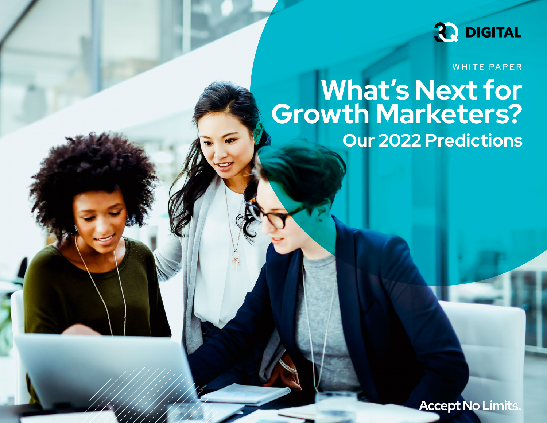

WHITE PAPER

## **What's Next for Growth Marketers? Our 2022 Predictions**

**Accept No Limits.**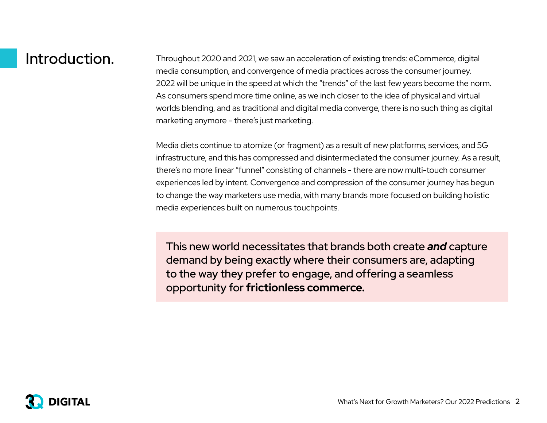Introduction. Throughout 2020 and 2021, we saw an acceleration of existing trends: eCommerce, digital media consumption, and convergence of media practices across the consumer journey. 2022 will be unique in the speed at which the "trends" of the last few years become the norm. As consumers spend more time online, as we inch closer to the idea of physical and virtual worlds blending, and as traditional and digital media converge, there is no such thing as digital marketing anymore - there's just marketing.

> Media diets continue to atomize (or fragment) as a result of new platforms, services, and 5G infrastructure, and this has compressed and disintermediated the consumer journey. As a result, there's no more linear "funnel" consisting of channels - there are now multi-touch consumer experiences led by intent. Convergence and compression of the consumer journey has begun to change the way marketers use media, with many brands more focused on building holistic media experiences built on numerous touchpoints.

This new world necessitates that brands both create *and* capture demand by being exactly where their consumers are, adapting to the way they prefer to engage, and offering a seamless opportunity for **frictionless commerce.**